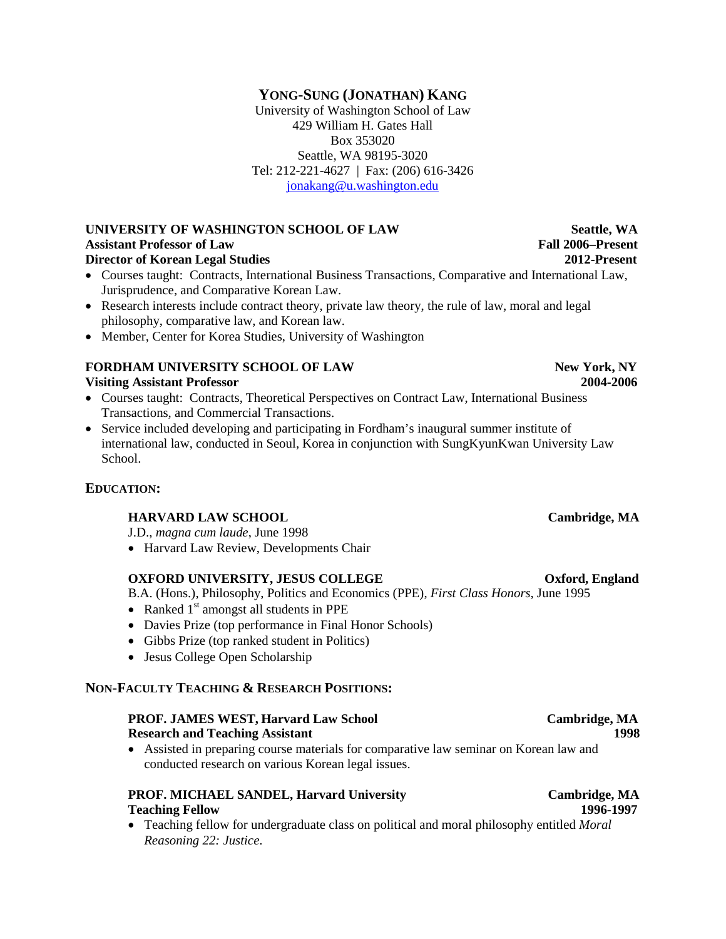## **YONG-SUNG (JONATHAN) KANG**

University of Washington School of Law 429 William H. Gates Hall Box 353020 Seattle, WA 98195-3020 Tel: 212-221-4627 | Fax: (206) 616-3426 [jonakang@u.washington.edu](mailto:jonakang@u.washington.edu)

**UNIVERSITY OF WASHINGTON SCHOOL OF LAW Seattle, WA Assistant Professor of Law Fall 2006–Present Director of Korean Legal Studies 2012-Present**

- Courses taught: Contracts, International Business Transactions, Comparative and International Law, Jurisprudence, and Comparative Korean Law.
- Research interests include contract theory, private law theory, the rule of law, moral and legal philosophy, comparative law, and Korean law.
- Member, Center for Korea Studies, University of Washington

### **FORDHAM UNIVERSITY SCHOOL OF LAW <b>New York, NY**

### **Visiting Assistant Professor 2004-2006**

- Courses taught: Contracts, Theoretical Perspectives on Contract Law, International Business Transactions, and Commercial Transactions.
- Service included developing and participating in Fordham's inaugural summer institute of international law, conducted in Seoul, Korea in conjunction with SungKyunKwan University Law School.

### **EDUCATION:**

### **HARVARD LAW SCHOOL Cambridge, MA**

J.D., *magna cum laude*, June 1998

• Harvard Law Review, Developments Chair

### **OXFORD UNIVERSITY, JESUS COLLEGE CORPORATION CONSUMING A CONSUMINGLY**

B.A. (Hons.), Philosophy, Politics and Economics (PPE), *First Class Honors*, June 1995

- Ranked  $1<sup>st</sup>$  amongst all students in PPE
- Davies Prize (top performance in Final Honor Schools)
- Gibbs Prize (top ranked student in Politics)
- Jesus College Open Scholarship

### **NON-FACULTY TEACHING & RESEARCH POSITIONS:**

### **PROF. JAMES WEST, Harvard Law School Cambridge, MA Research and Teaching Assistant 1998**

• Assisted in preparing course materials for comparative law seminar on Korean law and conducted research on various Korean legal issues.

### **PROF. MICHAEL SANDEL, Harvard University Cambridge, MA Teaching Fellow 1996-1997**

• Teaching fellow for undergraduate class on political and moral philosophy entitled *Moral Reasoning 22: Justice*.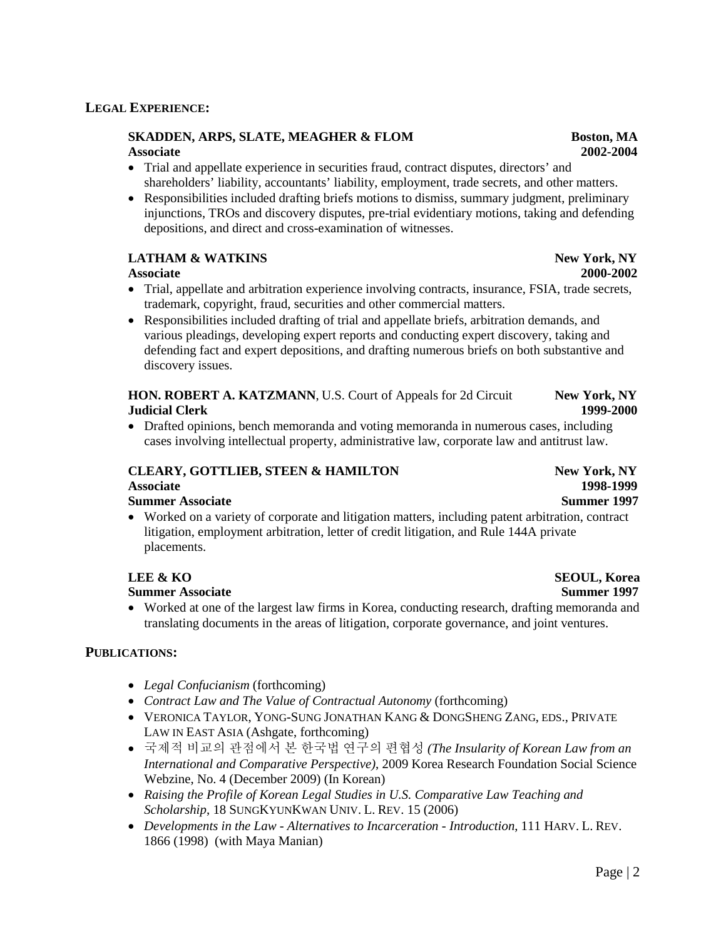## **SKADDEN, ARPS, SLATE, MEAGHER & FLOM Boston, MA**

- Trial and appellate experience in securities fraud, contract disputes, directors' and shareholders' liability, accountants' liability, employment, trade secrets, and other matters.
- Responsibilities included drafting briefs motions to dismiss, summary judgment, preliminary injunctions, TROs and discovery disputes, pre-trial evidentiary motions, taking and defending depositions, and direct and cross-examination of witnesses.

## **LATHAM & WATKINS New York, NY**

### **Associate 2000-2002**

- Trial, appellate and arbitration experience involving contracts, insurance, FSIA, trade secrets, trademark, copyright, fraud, securities and other commercial matters.
- Responsibilities included drafting of trial and appellate briefs, arbitration demands, and various pleadings, developing expert reports and conducting expert discovery, taking and defending fact and expert depositions, and drafting numerous briefs on both substantive and discovery issues.

## **HON. ROBERT A. KATZMANN**, U.S. Court of Appeals for 2d Circuit **New York, NY Judicial Clerk 1999-2000**

• Drafted opinions, bench memoranda and voting memoranda in numerous cases, including cases involving intellectual property, administrative law, corporate law and antitrust law.

## **CLEARY, GOTTLIEB, STEEN & HAMILTON New York, NY**

## **Summer Associate** Summer 1997

• Worked on a variety of corporate and litigation matters, including patent arbitration, contract litigation, employment arbitration, letter of credit litigation, and Rule 144A private placements.

## **Summer Associate** Summer 1997

• Worked at one of the largest law firms in Korea, conducting research, drafting memoranda and translating documents in the areas of litigation, corporate governance, and joint ventures.

## **PUBLICATIONS:**

- *Legal Confucianism* (forthcoming)
- *Contract Law and The Value of Contractual Autonomy* (forthcoming)
- VERONICA TAYLOR, YONG-SUNG JONATHAN KANG & DONGSHENG ZANG, EDS., PRIVATE LAW IN EAST ASIA (Ashgate, forthcoming)
- 국제적 비교의 관점에서 본 한국법 연구의 편협성 *(The Insularity of Korean Law from an International and Comparative Perspective)*, 2009 Korea Research Foundation Social Science Webzine, No. 4 (December 2009) (In Korean)
- *Raising the Profile of Korean Legal Studies in U.S. Comparative Law Teaching and Scholarship*, 18 SUNGKYUNKWAN UNIV. L. REV. 15 (2006)
- *Developments in the Law - Alternatives to Incarceration - Introduction*, 111 HARV. L. REV. 1866 (1998) (with Maya Manian)

**Associate 1998-1999**

# **LEE & KO SEOUL, Korea**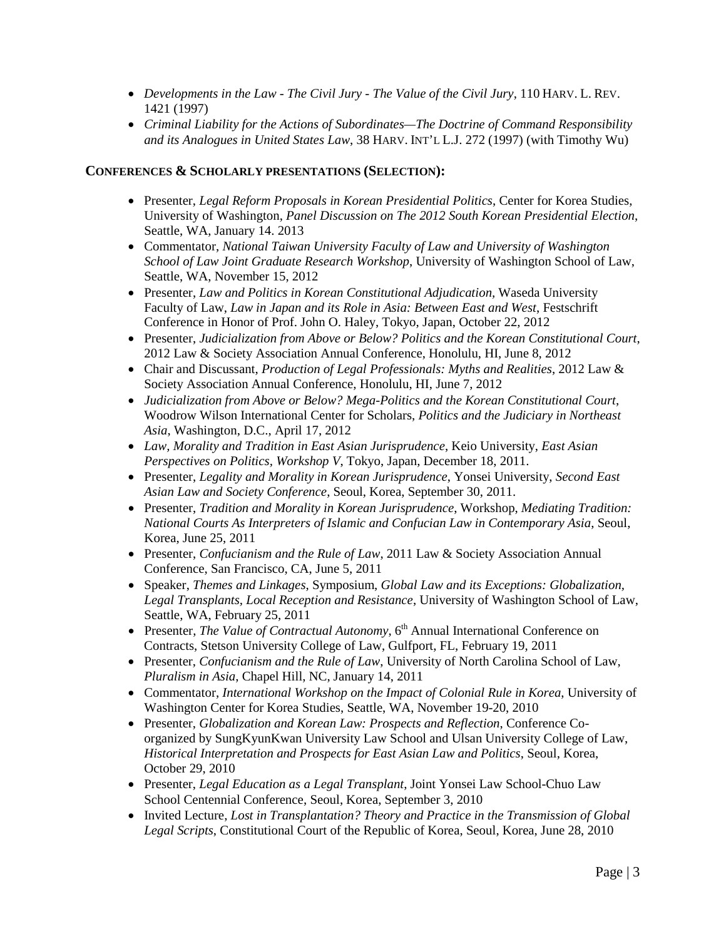- *Developments in the Law - The Civil Jury - The Value of the Civil Jury*, 110 HARV. L. REV. 1421 (1997)
- *Criminal Liability for the Actions of Subordinates—The Doctrine of Command Responsibility and its Analogues in United States Law*, 38 HARV. INT'L L.J. 272 (1997) (with Timothy Wu)

### **CONFERENCES & SCHOLARLY PRESENTATIONS (SELECTION):**

- Presenter, *Legal Reform Proposals in Korean Presidential Politics*, Center for Korea Studies, University of Washington, *Panel Discussion on The 2012 South Korean Presidential Election*, Seattle, WA, January 14. 2013
- Commentator, *National Taiwan University Faculty of Law and University of Washington School of Law Joint Graduate Research Workshop*, University of Washington School of Law, Seattle, WA, November 15, 2012
- Presenter, *Law and Politics in Korean Constitutional Adjudication,* Waseda University Faculty of Law, *Law in Japan and its Role in Asia: Between East and West*, Festschrift Conference in Honor of Prof. John O. Haley, Tokyo, Japan, October 22, 2012
- Presenter, *Judicialization from Above or Below? Politics and the Korean Constitutional Court*, 2012 Law & Society Association Annual Conference, Honolulu, HI, June 8, 2012
- Chair and Discussant, *Production of Legal Professionals: Myths and Realities*, 2012 Law & Society Association Annual Conference, Honolulu, HI, June 7, 2012
- *Judicialization from Above or Below? Mega-Politics and the Korean Constitutional Court*, Woodrow Wilson International Center for Scholars, *Politics and the Judiciary in Northeast Asia*, Washington, D.C., April 17, 2012
- *Law, Morality and Tradition in East Asian Jurisprudence*, Keio University, *East Asian Perspectives on Politics, Workshop V*, Tokyo, Japan, December 18, 2011.
- Presenter, *Legality and Morality in Korean Jurisprudence*, Yonsei University, *Second East Asian Law and Society Conference*, Seoul, Korea, September 30, 2011.
- Presenter, *Tradition and Morality in Korean Jurisprudence*, Workshop, *Mediating Tradition: National Courts As Interpreters of Islamic and Confucian Law in Contemporary Asia*, Seoul, Korea, June 25, 2011
- Presenter, *Confucianism and the Rule of Law*, 2011 Law & Society Association Annual Conference, San Francisco, CA, June 5, 2011
- Speaker, *Themes and Linkages*, Symposium, *Global Law and its Exceptions: Globalization, Legal Transplants, Local Reception and Resistance*, University of Washington School of Law, Seattle, WA, February 25, 2011
- Presenter, *The Value of Contractual Autonomy*, 6<sup>th</sup> Annual International Conference on Contracts, Stetson University College of Law, Gulfport, FL, February 19, 2011
- Presenter, *Confucianism and the Rule of Law*, University of North Carolina School of Law, *Pluralism in Asia*, Chapel Hill, NC, January 14, 2011
- Commentator, *International Workshop on the Impact of Colonial Rule in Korea*, University of Washington Center for Korea Studies, Seattle, WA, November 19-20, 2010
- Presenter, *Globalization and Korean Law: Prospects and Reflection*, Conference Coorganized by SungKyunKwan University Law School and Ulsan University College of Law, *Historical Interpretation and Prospects for East Asian Law and Politics*, Seoul, Korea, October 29, 2010
- Presenter, *Legal Education as a Legal Transplant*, Joint Yonsei Law School-Chuo Law School Centennial Conference, Seoul, Korea, September 3, 2010
- Invited Lecture, *Lost in Transplantation? Theory and Practice in the Transmission of Global Legal Scripts*, Constitutional Court of the Republic of Korea, Seoul, Korea, June 28, 2010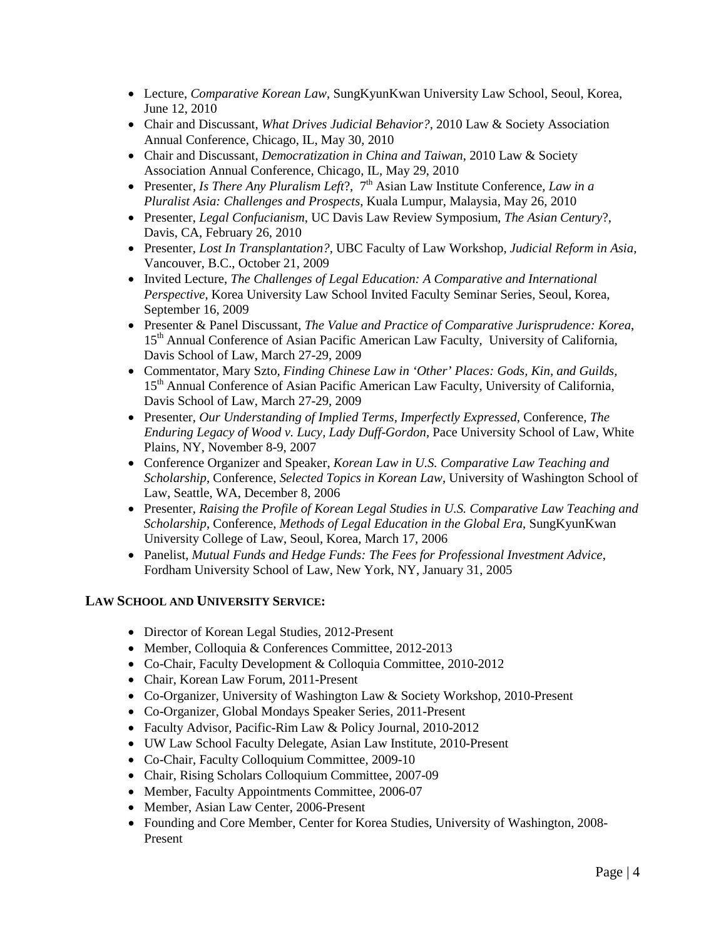- Lecture, *Comparative Korean Law*, SungKyunKwan University Law School, Seoul, Korea, June 12, 2010
- Chair and Discussant, *What Drives Judicial Behavior?*, 2010 Law & Society Association Annual Conference, Chicago, IL, May 30, 2010
- Chair and Discussant, *Democratization in China and Taiwan*, 2010 Law & Society Association Annual Conference, Chicago, IL, May 29, 2010
- Presenter, *Is There Any Pluralism Left*?, 7<sup>th</sup> Asian Law Institute Conference, *Law in a Pluralist Asia: Challenges and Prospects*, Kuala Lumpur, Malaysia, May 26, 2010
- Presenter, *Legal Confucianism*, UC Davis Law Review Symposium, *The Asian Century*?, Davis, CA, February 26, 2010
- Presenter, *Lost In Transplantation?*, UBC Faculty of Law Workshop, *Judicial Reform in Asia*, Vancouver, B.C., October 21, 2009
- Invited Lecture, *The Challenges of Legal Education: A Comparative and International Perspective*, Korea University Law School Invited Faculty Seminar Series, Seoul, Korea, September 16, 2009
- Presenter & Panel Discussant, *The Value and Practice of Comparative Jurisprudence: Korea*, 15<sup>th</sup> Annual Conference of Asian Pacific American Law Faculty, University of California, Davis School of Law, March 27-29, 2009
- Commentator, Mary Szto*, Finding Chinese Law in 'Other' Places: Gods, Kin, and Guilds*, 15<sup>th</sup> Annual Conference of Asian Pacific American Law Faculty, University of California, Davis School of Law, March 27-29, 2009
- Presenter, *Our Understanding of Implied Terms, Imperfectly Expressed*, Conference, *The Enduring Legacy of Wood v. Lucy, Lady Duff*-*Gordon*, Pace University School of Law, White Plains, NY, November 8-9, 2007
- Conference Organizer and Speaker, *Korean Law in U.S. Comparative Law Teaching and Scholarship*, Conference, *Selected Topics in Korean Law*, University of Washington School of Law, Seattle, WA, December 8, 2006
- Presenter, *Raising the Profile of Korean Legal Studies in U.S. Comparative Law Teaching and Scholarship*, Conference, *Methods of Legal Education in the Global Era*, SungKyunKwan University College of Law, Seoul, Korea, March 17, 2006
- Panelist, *Mutual Funds and Hedge Funds: The Fees for Professional Investment Advice*, Fordham University School of Law, New York, NY, January 31, 2005

## **LAW SCHOOL AND UNIVERSITY SERVICE:**

- Director of Korean Legal Studies, 2012-Present
- Member, Colloquia & Conferences Committee, 2012-2013
- Co-Chair, Faculty Development & Colloquia Committee, 2010-2012
- Chair, Korean Law Forum, 2011-Present
- Co-Organizer, University of Washington Law & Society Workshop, 2010-Present
- Co-Organizer, Global Mondays Speaker Series, 2011-Present
- Faculty Advisor, Pacific-Rim Law & Policy Journal, 2010-2012
- UW Law School Faculty Delegate, Asian Law Institute, 2010-Present
- Co-Chair, Faculty Colloquium Committee, 2009-10
- Chair, Rising Scholars Colloquium Committee, 2007-09
- Member, Faculty Appointments Committee, 2006-07
- Member, Asian Law Center, 2006-Present
- Founding and Core Member, Center for Korea Studies, University of Washington, 2008- Present